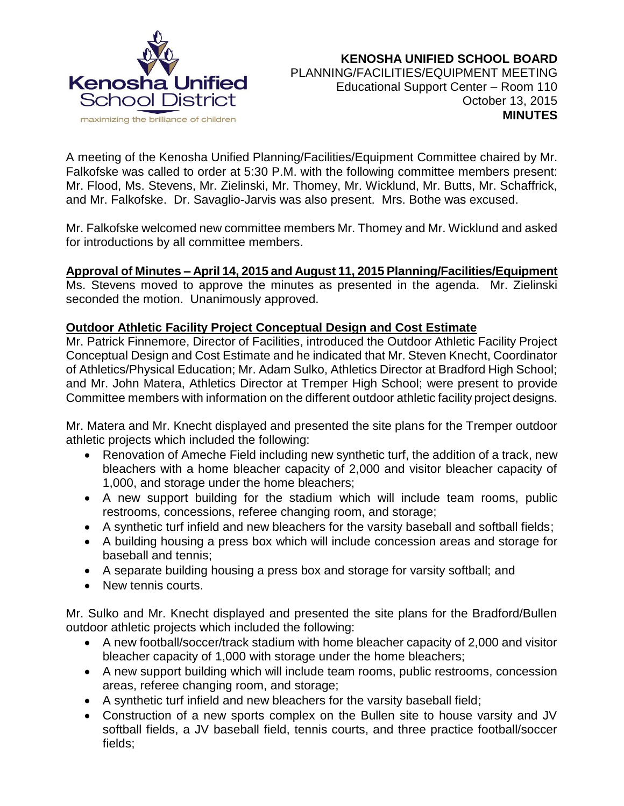

A meeting of the Kenosha Unified Planning/Facilities/Equipment Committee chaired by Mr. Falkofske was called to order at 5:30 P.M. with the following committee members present: Mr. Flood, Ms. Stevens, Mr. Zielinski, Mr. Thomey, Mr. Wicklund, Mr. Butts, Mr. Schaffrick, and Mr. Falkofske. Dr. Savaglio-Jarvis was also present. Mrs. Bothe was excused.

Mr. Falkofske welcomed new committee members Mr. Thomey and Mr. Wicklund and asked for introductions by all committee members.

# **Approval of Minutes – April 14, 2015 and August 11, 2015 Planning/Facilities/Equipment**

Ms. Stevens moved to approve the minutes as presented in the agenda. Mr. Zielinski seconded the motion. Unanimously approved.

## **Outdoor Athletic Facility Project Conceptual Design and Cost Estimate**

Mr. Patrick Finnemore, Director of Facilities, introduced the Outdoor Athletic Facility Project Conceptual Design and Cost Estimate and he indicated that Mr. Steven Knecht, Coordinator of Athletics/Physical Education; Mr. Adam Sulko, Athletics Director at Bradford High School; and Mr. John Matera, Athletics Director at Tremper High School; were present to provide Committee members with information on the different outdoor athletic facility project designs.

Mr. Matera and Mr. Knecht displayed and presented the site plans for the Tremper outdoor athletic projects which included the following:

- Renovation of Ameche Field including new synthetic turf, the addition of a track, new bleachers with a home bleacher capacity of 2,000 and visitor bleacher capacity of 1,000, and storage under the home bleachers;
- A new support building for the stadium which will include team rooms, public restrooms, concessions, referee changing room, and storage;
- A synthetic turf infield and new bleachers for the varsity baseball and softball fields;
- A building housing a press box which will include concession areas and storage for baseball and tennis;
- A separate building housing a press box and storage for varsity softball; and
- New tennis courts.

Mr. Sulko and Mr. Knecht displayed and presented the site plans for the Bradford/Bullen outdoor athletic projects which included the following:

- A new football/soccer/track stadium with home bleacher capacity of 2,000 and visitor bleacher capacity of 1,000 with storage under the home bleachers;
- A new support building which will include team rooms, public restrooms, concession areas, referee changing room, and storage;
- A synthetic turf infield and new bleachers for the varsity baseball field;
- Construction of a new sports complex on the Bullen site to house varsity and JV softball fields, a JV baseball field, tennis courts, and three practice football/soccer fields;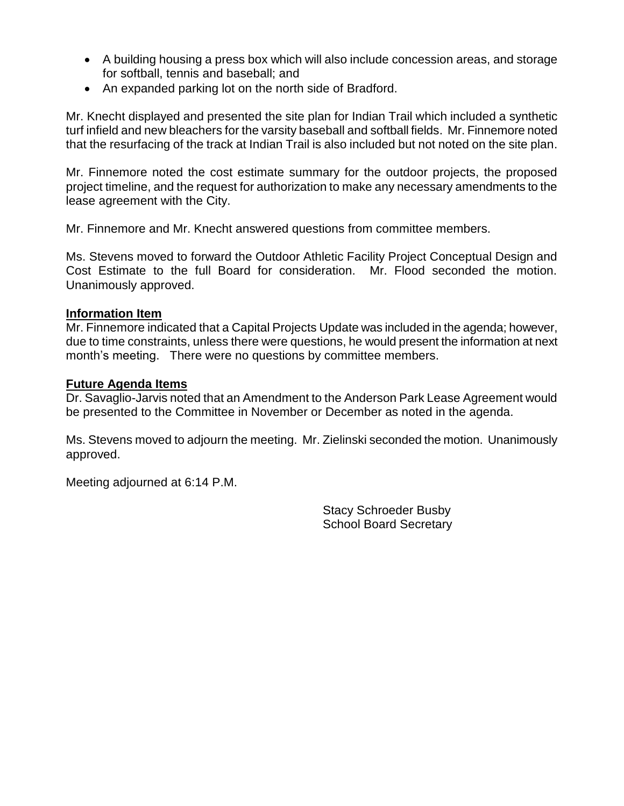- A building housing a press box which will also include concession areas, and storage for softball, tennis and baseball; and
- An expanded parking lot on the north side of Bradford.

Mr. Knecht displayed and presented the site plan for Indian Trail which included a synthetic turf infield and new bleachers for the varsity baseball and softball fields. Mr. Finnemore noted that the resurfacing of the track at Indian Trail is also included but not noted on the site plan.

Mr. Finnemore noted the cost estimate summary for the outdoor projects, the proposed project timeline, and the request for authorization to make any necessary amendments to the lease agreement with the City.

Mr. Finnemore and Mr. Knecht answered questions from committee members.

Ms. Stevens moved to forward the Outdoor Athletic Facility Project Conceptual Design and Cost Estimate to the full Board for consideration. Mr. Flood seconded the motion. Unanimously approved.

### **Information Item**

Mr. Finnemore indicated that a Capital Projects Update was included in the agenda; however, due to time constraints, unless there were questions, he would present the information at next month's meeting. There were no questions by committee members.

### **Future Agenda Items**

Dr. Savaglio-Jarvis noted that an Amendment to the Anderson Park Lease Agreement would be presented to the Committee in November or December as noted in the agenda.

Ms. Stevens moved to adjourn the meeting. Mr. Zielinski seconded the motion. Unanimously approved.

Meeting adjourned at 6:14 P.M.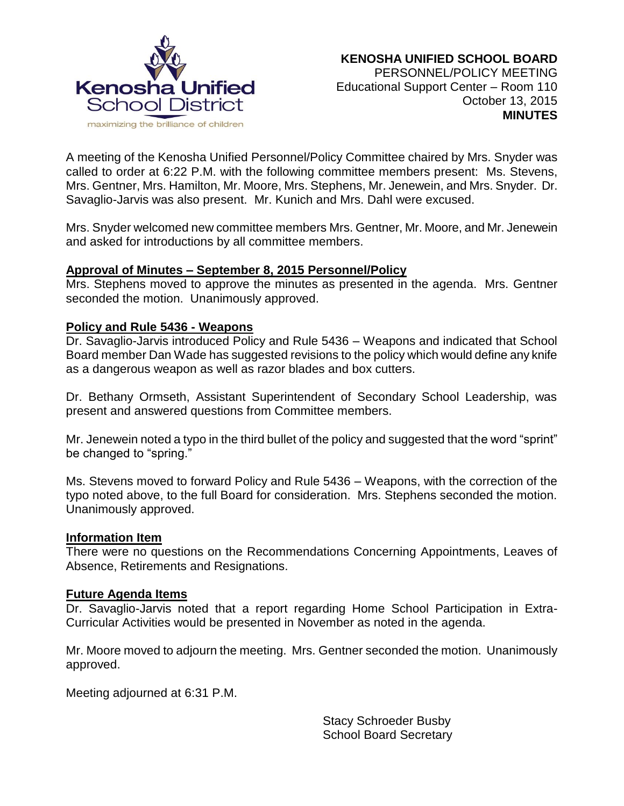

A meeting of the Kenosha Unified Personnel/Policy Committee chaired by Mrs. Snyder was called to order at 6:22 P.M. with the following committee members present: Ms. Stevens, Mrs. Gentner, Mrs. Hamilton, Mr. Moore, Mrs. Stephens, Mr. Jenewein, and Mrs. Snyder. Dr. Savaglio-Jarvis was also present. Mr. Kunich and Mrs. Dahl were excused.

Mrs. Snyder welcomed new committee members Mrs. Gentner, Mr. Moore, and Mr. Jenewein and asked for introductions by all committee members.

### **Approval of Minutes – September 8, 2015 Personnel/Policy**

Mrs. Stephens moved to approve the minutes as presented in the agenda. Mrs. Gentner seconded the motion. Unanimously approved.

### **Policy and Rule 5436 - Weapons**

Dr. Savaglio-Jarvis introduced Policy and Rule 5436 – Weapons and indicated that School Board member Dan Wade has suggested revisions to the policy which would define any knife as a dangerous weapon as well as razor blades and box cutters.

Dr. Bethany Ormseth, Assistant Superintendent of Secondary School Leadership, was present and answered questions from Committee members.

Mr. Jenewein noted a typo in the third bullet of the policy and suggested that the word "sprint" be changed to "spring."

Ms. Stevens moved to forward Policy and Rule 5436 – Weapons, with the correction of the typo noted above, to the full Board for consideration. Mrs. Stephens seconded the motion. Unanimously approved.

### **Information Item**

There were no questions on the Recommendations Concerning Appointments, Leaves of Absence, Retirements and Resignations.

### **Future Agenda Items**

Dr. Savaglio-Jarvis noted that a report regarding Home School Participation in Extra-Curricular Activities would be presented in November as noted in the agenda.

Mr. Moore moved to adjourn the meeting. Mrs. Gentner seconded the motion. Unanimously approved.

Meeting adjourned at 6:31 P.M.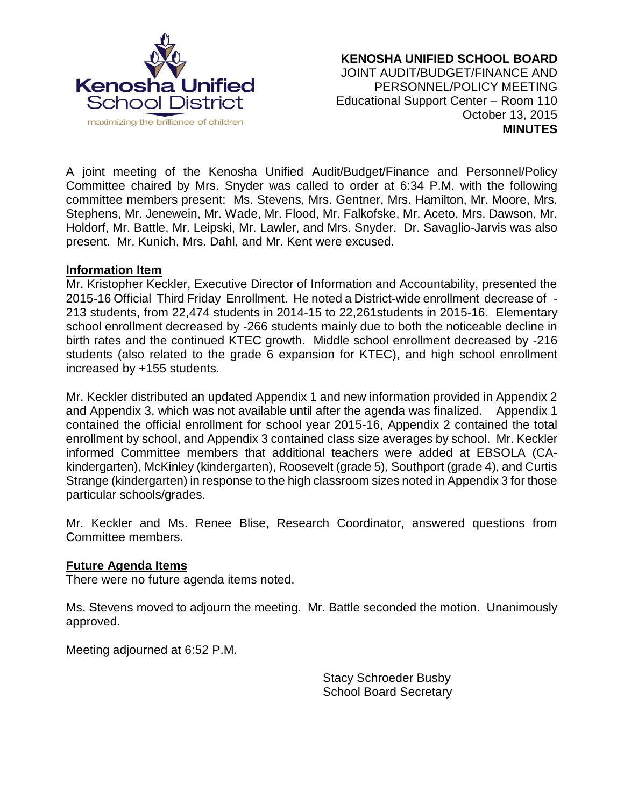

A joint meeting of the Kenosha Unified Audit/Budget/Finance and Personnel/Policy Committee chaired by Mrs. Snyder was called to order at 6:34 P.M. with the following committee members present: Ms. Stevens, Mrs. Gentner, Mrs. Hamilton, Mr. Moore, Mrs. Stephens, Mr. Jenewein, Mr. Wade, Mr. Flood, Mr. Falkofske, Mr. Aceto, Mrs. Dawson, Mr. Holdorf, Mr. Battle, Mr. Leipski, Mr. Lawler, and Mrs. Snyder. Dr. Savaglio-Jarvis was also present. Mr. Kunich, Mrs. Dahl, and Mr. Kent were excused.

### **Information Item**

Mr. Kristopher Keckler, Executive Director of Information and Accountability, presented the 2015-16 Official Third Friday Enrollment. He noted a District-wide enrollment decrease of - 213 students, from 22,474 students in 2014-15 to 22,261students in 2015-16. Elementary school enrollment decreased by -266 students mainly due to both the noticeable decline in birth rates and the continued KTEC growth. Middle school enrollment decreased by -216 students (also related to the grade 6 expansion for KTEC), and high school enrollment increased by +155 students.

Mr. Keckler distributed an updated Appendix 1 and new information provided in Appendix 2 and Appendix 3, which was not available until after the agenda was finalized. Appendix 1 contained the official enrollment for school year 2015-16, Appendix 2 contained the total enrollment by school, and Appendix 3 contained class size averages by school. Mr. Keckler informed Committee members that additional teachers were added at EBSOLA (CAkindergarten), McKinley (kindergarten), Roosevelt (grade 5), Southport (grade 4), and Curtis Strange (kindergarten) in response to the high classroom sizes noted in Appendix 3 for those particular schools/grades.

Mr. Keckler and Ms. Renee Blise, Research Coordinator, answered questions from Committee members.

## **Future Agenda Items**

There were no future agenda items noted.

Ms. Stevens moved to adjourn the meeting. Mr. Battle seconded the motion. Unanimously approved.

Meeting adjourned at 6:52 P.M.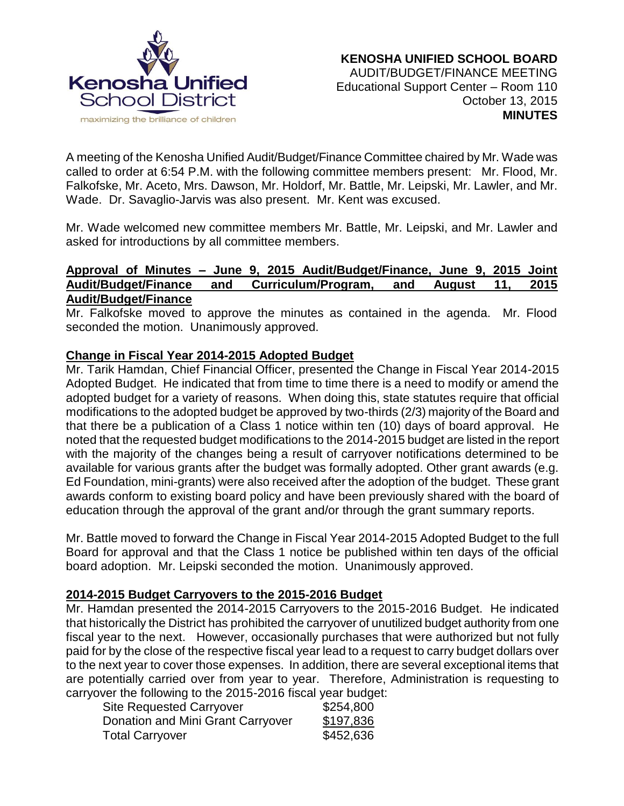

A meeting of the Kenosha Unified Audit/Budget/Finance Committee chaired by Mr. Wade was called to order at 6:54 P.M. with the following committee members present: Mr. Flood, Mr. Falkofske, Mr. Aceto, Mrs. Dawson, Mr. Holdorf, Mr. Battle, Mr. Leipski, Mr. Lawler, and Mr. Wade. Dr. Savaglio-Jarvis was also present. Mr. Kent was excused.

Mr. Wade welcomed new committee members Mr. Battle, Mr. Leipski, and Mr. Lawler and asked for introductions by all committee members.

# **Approval of Minutes – June 9, 2015 Audit/Budget/Finance, June 9, 2015 Joint Audit/Budget/Finance and Curriculum/Program, and August 11, 2015 Audit/Budget/Finance**

Mr. Falkofske moved to approve the minutes as contained in the agenda. Mr. Flood seconded the motion. Unanimously approved.

# **Change in Fiscal Year 2014-2015 Adopted Budget**

Mr. Tarik Hamdan, Chief Financial Officer, presented the Change in Fiscal Year 2014-2015 Adopted Budget. He indicated that from time to time there is a need to modify or amend the adopted budget for a variety of reasons. When doing this, state statutes require that official modifications to the adopted budget be approved by two-thirds (2/3) majority of the Board and that there be a publication of a Class 1 notice within ten (10) days of board approval. He noted that the requested budget modifications to the 2014-2015 budget are listed in the report with the majority of the changes being a result of carryover notifications determined to be available for various grants after the budget was formally adopted. Other grant awards (e.g. Ed Foundation, mini-grants) were also received after the adoption of the budget. These grant awards conform to existing board policy and have been previously shared with the board of education through the approval of the grant and/or through the grant summary reports.

Mr. Battle moved to forward the Change in Fiscal Year 2014-2015 Adopted Budget to the full Board for approval and that the Class 1 notice be published within ten days of the official board adoption. Mr. Leipski seconded the motion. Unanimously approved.

## **2014-2015 Budget Carryovers to the 2015-2016 Budget**

Mr. Hamdan presented the 2014-2015 Carryovers to the 2015-2016 Budget. He indicated that historically the District has prohibited the carryover of unutilized budget authority from one fiscal year to the next. However, occasionally purchases that were authorized but not fully paid for by the close of the respective fiscal year lead to a request to carry budget dollars over to the next year to cover those expenses. In addition, there are several exceptional items that are potentially carried over from year to year. Therefore, Administration is requesting to carryover the following to the 2015-2016 fiscal year budget:

| <b>Site Requested Carryover</b>   | \$254,800 |
|-----------------------------------|-----------|
| Donation and Mini Grant Carryover | \$197,836 |
| Total Carryover                   | \$452,636 |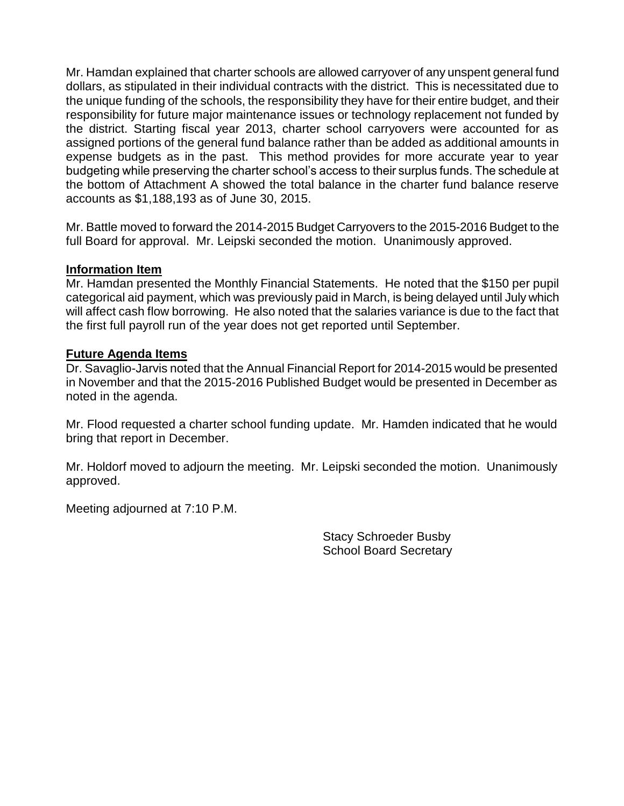Mr. Hamdan explained that charter schools are allowed carryover of any unspent general fund dollars, as stipulated in their individual contracts with the district. This is necessitated due to the unique funding of the schools, the responsibility they have for their entire budget, and their responsibility for future major maintenance issues or technology replacement not funded by the district. Starting fiscal year 2013, charter school carryovers were accounted for as assigned portions of the general fund balance rather than be added as additional amounts in expense budgets as in the past. This method provides for more accurate year to year budgeting while preserving the charter school's access to their surplus funds. The schedule at the bottom of Attachment A showed the total balance in the charter fund balance reserve accounts as \$1,188,193 as of June 30, 2015.

Mr. Battle moved to forward the 2014-2015 Budget Carryovers to the 2015-2016 Budget to the full Board for approval. Mr. Leipski seconded the motion. Unanimously approved.

### **Information Item**

Mr. Hamdan presented the Monthly Financial Statements. He noted that the \$150 per pupil categorical aid payment, which was previously paid in March, is being delayed until July which will affect cash flow borrowing. He also noted that the salaries variance is due to the fact that the first full payroll run of the year does not get reported until September.

### **Future Agenda Items**

Dr. Savaglio-Jarvis noted that the Annual Financial Report for 2014-2015 would be presented in November and that the 2015-2016 Published Budget would be presented in December as noted in the agenda.

Mr. Flood requested a charter school funding update. Mr. Hamden indicated that he would bring that report in December.

Mr. Holdorf moved to adjourn the meeting. Mr. Leipski seconded the motion. Unanimously approved.

Meeting adjourned at 7:10 P.M.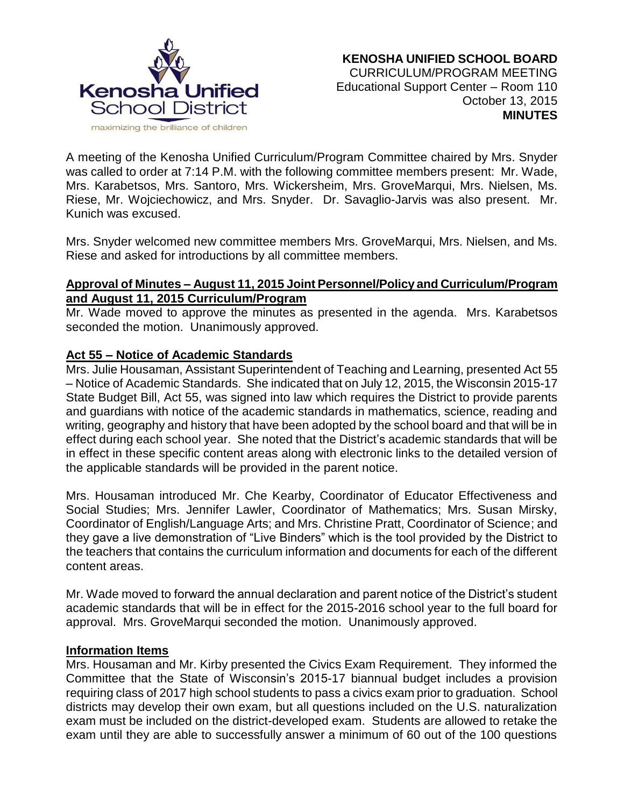

A meeting of the Kenosha Unified Curriculum/Program Committee chaired by Mrs. Snyder was called to order at 7:14 P.M. with the following committee members present: Mr. Wade, Mrs. Karabetsos, Mrs. Santoro, Mrs. Wickersheim, Mrs. GroveMarqui, Mrs. Nielsen, Ms. Riese, Mr. Wojciechowicz, and Mrs. Snyder. Dr. Savaglio-Jarvis was also present. Mr. Kunich was excused.

Mrs. Snyder welcomed new committee members Mrs. GroveMarqui, Mrs. Nielsen, and Ms. Riese and asked for introductions by all committee members.

# **Approval of Minutes – August 11, 2015 Joint Personnel/Policy and Curriculum/Program and August 11, 2015 Curriculum/Program**

Mr. Wade moved to approve the minutes as presented in the agenda. Mrs. Karabetsos seconded the motion. Unanimously approved.

# **Act 55 – Notice of Academic Standards**

Mrs. Julie Housaman, Assistant Superintendent of Teaching and Learning, presented Act 55 – Notice of Academic Standards. She indicated that on July 12, 2015, the Wisconsin 2015-17 State Budget Bill, Act 55, was signed into law which requires the District to provide parents and guardians with notice of the academic standards in mathematics, science, reading and writing, geography and history that have been adopted by the school board and that will be in effect during each school year. She noted that the District's academic standards that will be in effect in these specific content areas along with electronic links to the detailed version of the applicable standards will be provided in the parent notice.

Mrs. Housaman introduced Mr. Che Kearby, Coordinator of Educator Effectiveness and Social Studies; Mrs. Jennifer Lawler, Coordinator of Mathematics; Mrs. Susan Mirsky, Coordinator of English/Language Arts; and Mrs. Christine Pratt, Coordinator of Science; and they gave a live demonstration of "Live Binders" which is the tool provided by the District to the teachers that contains the curriculum information and documents for each of the different content areas.

Mr. Wade moved to forward the annual declaration and parent notice of the District's student academic standards that will be in effect for the 2015-2016 school year to the full board for approval. Mrs. GroveMarqui seconded the motion. Unanimously approved.

## **Information Items**

Mrs. Housaman and Mr. Kirby presented the Civics Exam Requirement. They informed the Committee that the State of Wisconsin's 2015-17 biannual budget includes a provision requiring class of 2017 high school students to pass a civics exam prior to graduation. School districts may develop their own exam, but all questions included on the U.S. naturalization exam must be included on the district-developed exam. Students are allowed to retake the exam until they are able to successfully answer a minimum of 60 out of the 100 questions